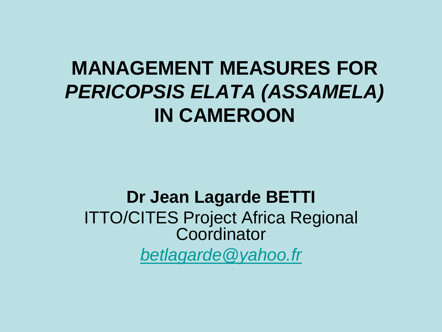#### **MANAGEMENT MEASURES FOR** *PERICOPSIS ELATA (ASSAMELA)* **IN CAMEROON**

#### **Dr Jean Lagarde BETTI** ITTO/CITES Project Africa Regional **Coordinator** *[betlagarde@yahoo.fr](mailto:betlagarde@yahoo.fr)*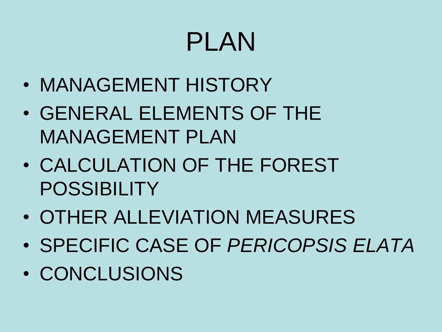# PLAN

- MANAGEMENT HISTORY
- GENERAL ELEMENTS OF THE MANAGEMENT PLAN
- CALCULATION OF THE FOREST POSSIBILITY
- OTHER ALLEVIATION MEASURES
- SPECIFIC CASE OF *PERICOPSIS ELATA*
- CONCLUSIONS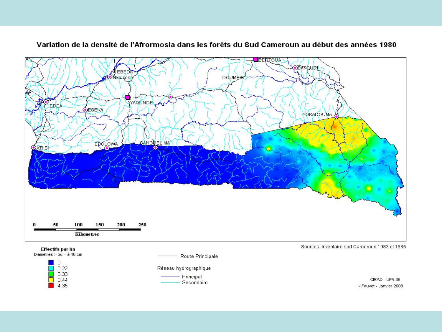

 $4.35$ 

#### Variation de la densité de l'Afrormosia dans les forêts du Sud Cameroun au début des années 1980

N.Fauvet - Janvier 2008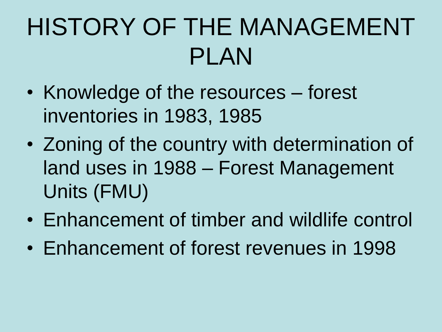## HISTORY OF THE MANAGEMENT PLAN

- Knowledge of the resources forest inventories in 1983, 1985
- Zoning of the country with determination of land uses in 1988 – Forest Management Units (FMU)
- Enhancement of timber and wildlife control
- Enhancement of forest revenues in 1998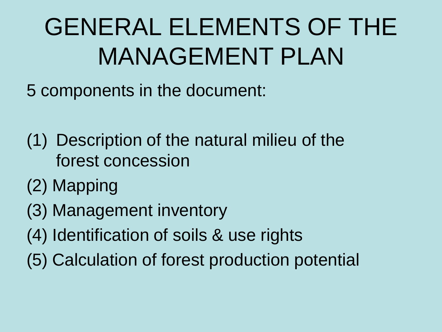## GENERAL ELEMENTS OF THE MANAGEMENT PLAN

5 components in the document:

- (1) Description of the natural milieu of the forest concession
- (2) Mapping
- (3) Management inventory
- (4) Identification of soils & use rights
- (5) Calculation of forest production potential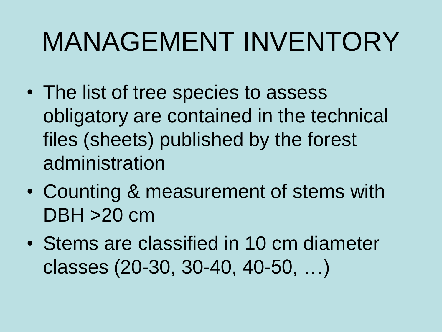# MANAGEMENT INVENTORY

- The list of tree species to assess obligatory are contained in the technical files (sheets) published by the forest administration
- Counting & measurement of stems with DBH >20 cm
- Stems are classified in 10 cm diameter classes (20-30, 30-40, 40-50, …)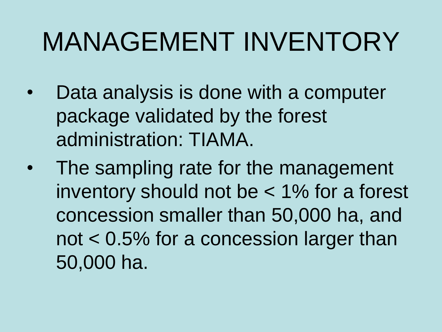# MANAGEMENT INVENTORY

- Data analysis is done with a computer package validated by the forest administration: TIAMA.
- The sampling rate for the management inventory should not be < 1% for a forest concession smaller than 50,000 ha, and not < 0.5% for a concession larger than 50,000 ha.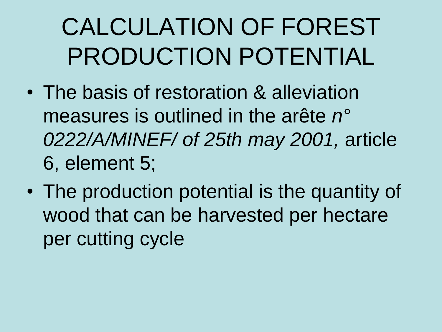- The basis of restoration & alleviation measures is outlined in the arête *n° 0222/A/MINEF/ of 25th may 2001,* article 6, element 5;
- The production potential is the quantity of wood that can be harvested per hectare per cutting cycle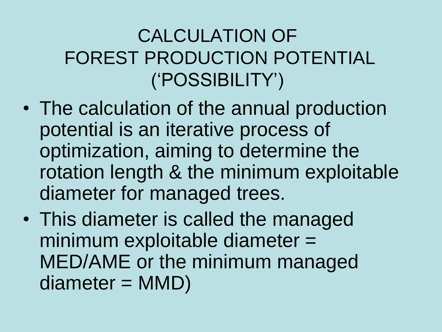#### CALCULATION OF FOREST PRODUCTION POTENTIAL ("POSSIBILITY")

- The calculation of the annual production potential is an iterative process of optimization, aiming to determine the rotation length & the minimum exploitable diameter for managed trees.
- This diameter is called the managed minimum exploitable diameter = MED/AME or the minimum managed diameter = MMD)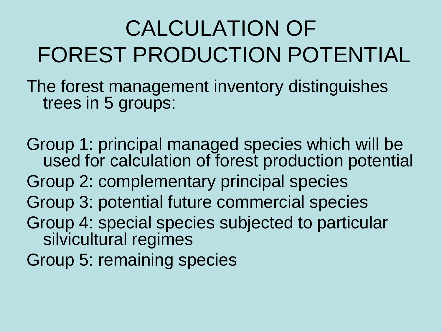The forest management inventory distinguishes trees in 5 groups:

Group 1: principal managed species which will be used for calculation of forest production potential Group 2: complementary principal species Group 3: potential future commercial species Group 4: special species subjected to particular silvicultural regimes Group 5: remaining species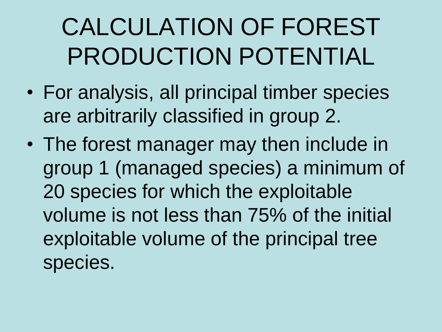- For analysis, all principal timber species are arbitrarily classified in group 2.
- The forest manager may then include in group 1 (managed species) a minimum of 20 species for which the exploitable volume is not less than 75% of the initial exploitable volume of the principal tree species.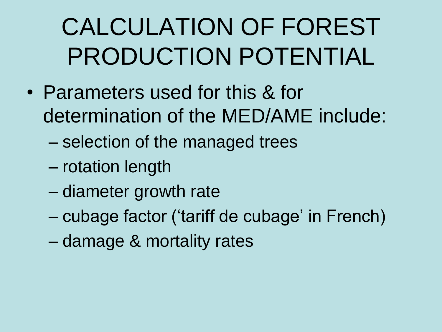- Parameters used for this & for determination of the MED/AME include:
	- selection of the managed trees
	- rotation length
	- diameter growth rate
	- cubage factor ("tariff de cubage" in French)
	- damage & mortality rates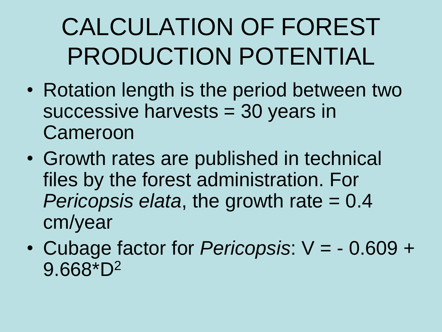- Rotation length is the period between two successive harvests = 30 years in **Cameroon**
- Growth rates are published in technical files by the forest administration. For *Pericopsis elata*, the growth rate = 0.4 cm/year
- Cubage factor for *Pericopsis*: V = 0.609 + 9.668\*D2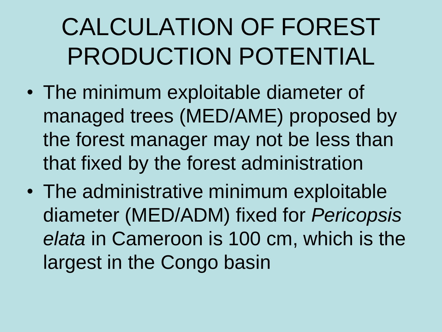- The minimum exploitable diameter of managed trees (MED/AME) proposed by the forest manager may not be less than that fixed by the forest administration
- The administrative minimum exploitable diameter (MED/ADM) fixed for *Pericopsis elata* in Cameroon is 100 cm, which is the largest in the Congo basin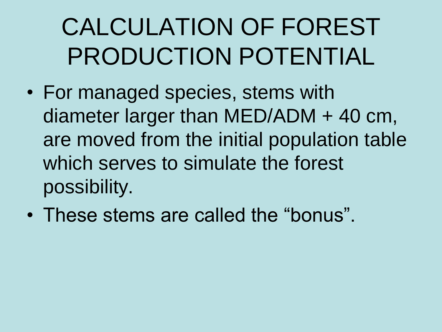- For managed species, stems with diameter larger than MED/ADM + 40 cm, are moved from the initial population table which serves to simulate the forest possibility.
- These stems are called the "bonus".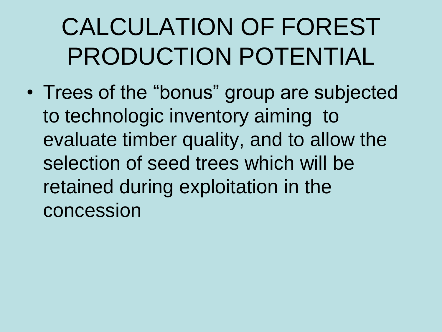• Trees of the "bonus" group are subjected to technologic inventory aiming to evaluate timber quality, and to allow the selection of seed trees which will be retained during exploitation in the concession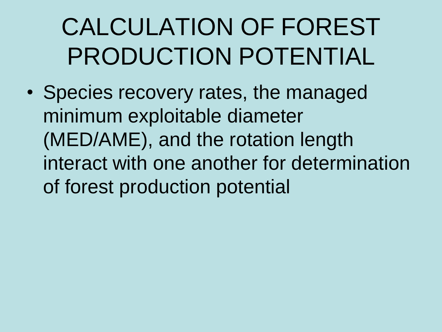• Species recovery rates, the managed minimum exploitable diameter (MED/AME), and the rotation length interact with one another for determination of forest production potential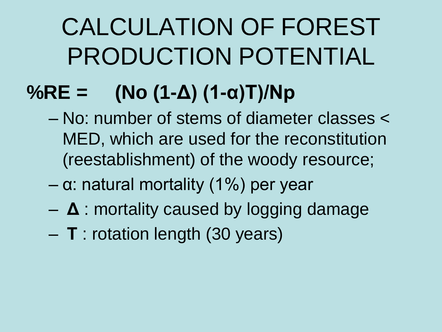#### **%RE = (No (1-Δ) (1-α)Τ)/Np**

- No: number of stems of diameter classes < MED, which are used for the reconstitution (reestablishment) of the woody resource;
- $-$  α: natural mortality (1%) per year
- **Δ** : mortality caused by logging damage
- **Τ** : rotation length (30 years)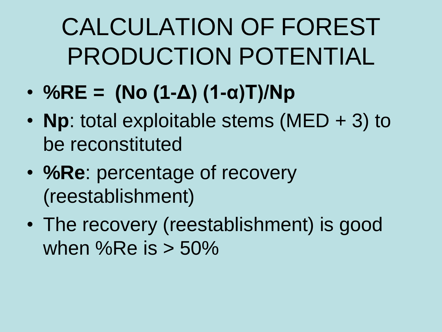- **%RE = (No (1-Δ) (1-α)Τ)/Np**
- **Np**: total exploitable stems (MED + 3) to be reconstituted
- **%Re**: percentage of recovery (reestablishment)
- The recovery (reestablishment) is good when %Re is  $> 50\%$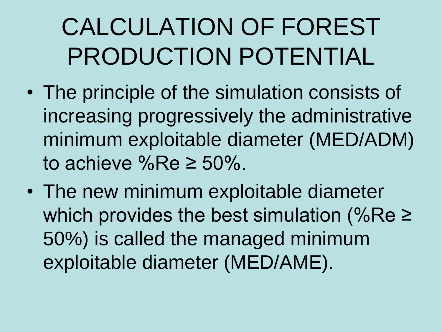- The principle of the simulation consists of increasing progressively the administrative minimum exploitable diameter (MED/ADM) to achieve %Re  $\geq 50\%$ .
- The new minimum exploitable diameter which provides the best simulation (%Re ≥ 50%) is called the managed minimum exploitable diameter (MED/AME).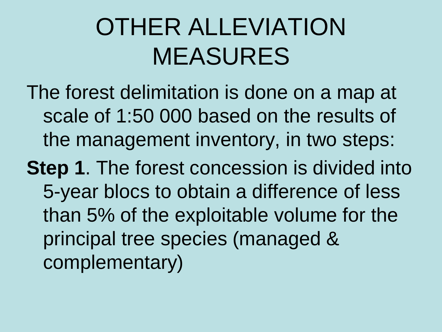- The forest delimitation is done on a map at scale of 1:50 000 based on the results of the management inventory, in two steps:
- **Step 1.** The forest concession is divided into 5-year blocs to obtain a difference of less than 5% of the exploitable volume for the principal tree species (managed & complementary)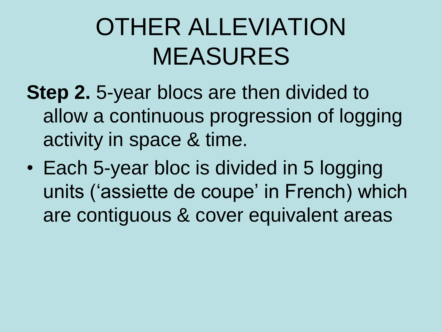- **Step 2.** 5-year blocs are then divided to allow a continuous progression of logging activity in space & time.
- Each 5-year bloc is divided in 5 logging units ('assiette de coupe' in French) which are contiguous & cover equivalent areas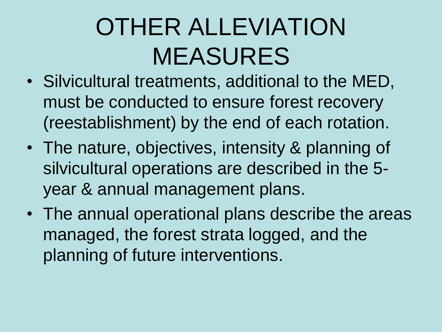- Silvicultural treatments, additional to the MED, must be conducted to ensure forest recovery (reestablishment) by the end of each rotation.
- The nature, objectives, intensity & planning of silvicultural operations are described in the 5 year & annual management plans.
- The annual operational plans describe the areas managed, the forest strata logged, and the planning of future interventions.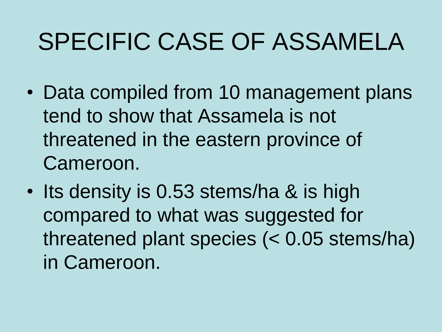- Data compiled from 10 management plans tend to show that Assamela is not threatened in the eastern province of Cameroon.
- Its density is 0.53 stems/ha & is high compared to what was suggested for threatened plant species (< 0.05 stems/ha) in Cameroon.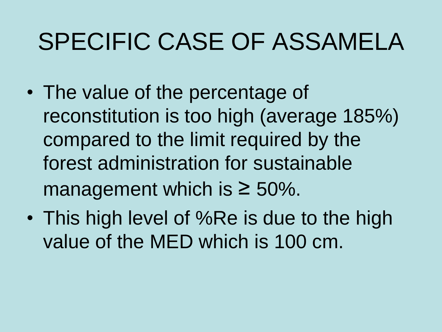- The value of the percentage of reconstitution is too high (average 185%) compared to the limit required by the forest administration for sustainable management which is  $\geq 50\%$ .
- This high level of %Re is due to the high value of the MED which is 100 cm.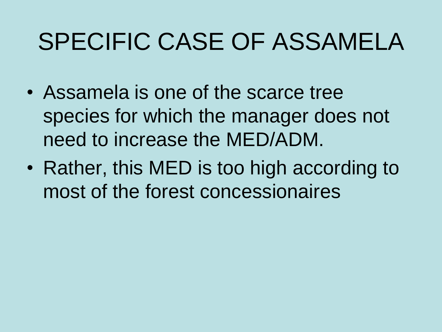- Assamela is one of the scarce tree species for which the manager does not need to increase the MED/ADM.
- Rather, this MED is too high according to most of the forest concessionaires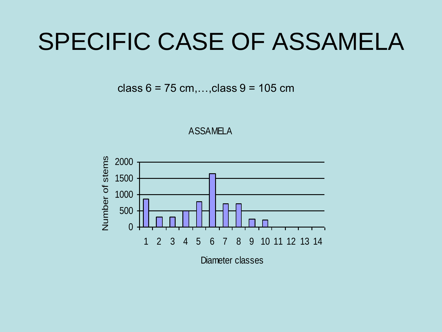class  $6 = 75$  cm,..., class  $9 = 105$  cm



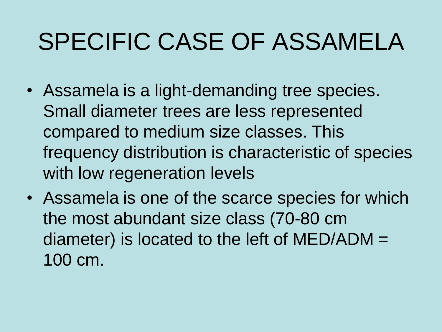- Assamela is a light-demanding tree species. Small diameter trees are less represented compared to medium size classes. This frequency distribution is characteristic of species with low regeneration levels
- Assamela is one of the scarce species for which the most abundant size class (70-80 cm diameter) is located to the left of MED/ADM = 100 cm.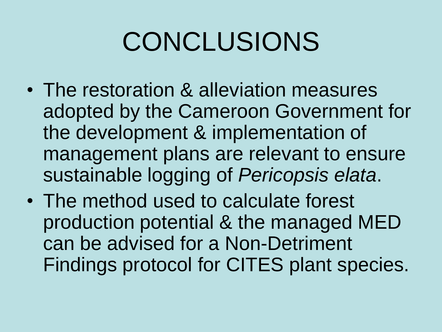# CONCLUSIONS

- The restoration & alleviation measures adopted by the Cameroon Government for the development & implementation of management plans are relevant to ensure sustainable logging of *Pericopsis elata*.
- The method used to calculate forest production potential & the managed MED can be advised for a Non-Detriment Findings protocol for CITES plant species.